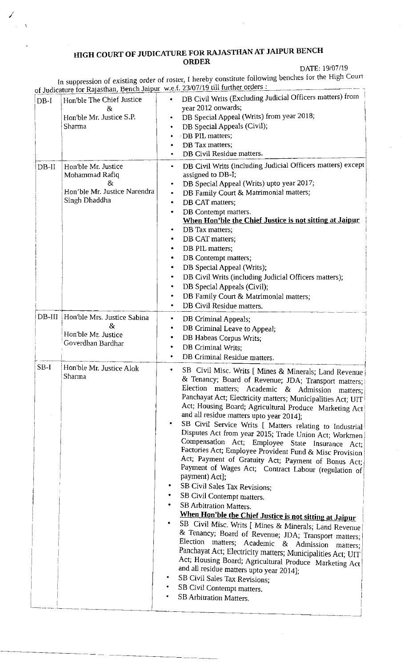## HIGH COURT OF JUDICATURE FOR RAJASTHAN AT JAIPUR BENCH ORDER

DATE: 19/07/19

In suppression of existing order o rer, I hereby constitute follow f. 23/07/19 till further orders : ing benches for the High Coun f ros

| $DB-I$   | Hon'ble The Chief Justice<br>&<br>Hon'ble Mr. Justice S.P.<br>Sharma                         | of Judicature for Rajasthan, Bench Jaipur w.e.f. 23/07/19 till turther orders:<br>DB Civil Writs (Excluding Judicial Officers matters) from<br>year 2012 onwards;<br>DB Special Appeal (Writs) from year 2018;<br>DB Special Appeals (Civil);<br>٠<br>DB PIL matters;<br>DB Tax matters;<br>DB Civil Residue matters.                                                                                                                                                                                                                                                                                                                                                                                                                                                                                                                                                                                                                                                                                                                                                                                                                                                                                                                                                                                |
|----------|----------------------------------------------------------------------------------------------|------------------------------------------------------------------------------------------------------------------------------------------------------------------------------------------------------------------------------------------------------------------------------------------------------------------------------------------------------------------------------------------------------------------------------------------------------------------------------------------------------------------------------------------------------------------------------------------------------------------------------------------------------------------------------------------------------------------------------------------------------------------------------------------------------------------------------------------------------------------------------------------------------------------------------------------------------------------------------------------------------------------------------------------------------------------------------------------------------------------------------------------------------------------------------------------------------------------------------------------------------------------------------------------------------|
| $DB-II$  | Hon'ble Mr. Justice<br>Mohammad Rafiq<br>8z<br>Hon'ble Mr. Justice Narendra<br>Singh Dhaddha | DB Civil Writs (including Judicial Officers matters) except<br>$\bullet$<br>assigned to DB-I;<br>DB Special Appeal (Writs) upto year 2017;<br>DB Family Court & Matrimonial matters;<br>٠<br>DB CAT matters;<br>٠<br>DB Contempt matters.<br>When Hon'ble the Chief Justice is not sitting at Jaipur<br>DB Tax matters;<br>DB CAT matters;<br>٠<br>DB PIL matters;<br>٠<br>DB Contempt matters;<br>DB Special Appeal (Writs);<br>DB Civil Writs (including Judicial Officers matters);<br>٠<br>DB Special Appeals (Civil);<br>٠<br>DB Family Court & Matrimonial matters;<br>DB Civil Residue matters.                                                                                                                                                                                                                                                                                                                                                                                                                                                                                                                                                                                                                                                                                               |
| $DB-III$ | Hon'ble Mrs. Justice Sabina<br>R,<br>Hon'ble Mr. Justice<br>Goverdhan Bardhar                | DB Criminal Appeals;<br>٠<br>DB Criminal Leave to Appeal;<br>DB Habeas Corpus Writs;<br>DB Criminal Writs;<br>۰<br>DB Criminal Residue matters.                                                                                                                                                                                                                                                                                                                                                                                                                                                                                                                                                                                                                                                                                                                                                                                                                                                                                                                                                                                                                                                                                                                                                      |
| $SB-I$   | Hon'ble Mr. Justice Alok<br>Sharma                                                           | SB Civil Misc. Writs [ Mines & Minerals; Land Revenue<br>& Tenancy; Board of Revenue; JDA; Transport matters;<br>Election matters; Academic & Admission matters;<br>Panchayat Act; Electricity matters; Municipalities Act; UIT!<br>Act; Housing Board; Agricultural Produce Marketing Act<br>and all residue matters upto year 2014];<br>SB Civil Service Writs [ Matters relating to Industrial<br>Disputes Act from year 2015; Trade Union Act; Workmen<br>Compensation Act; Employee State Insurance Act;<br>Factories Act; Employee Provident Fund & Misc Provision<br>Act; Payment of Gratuity Act; Payment of Bonus Act;<br>Payment of Wages Act; Contract Labour (regulation of<br>payment) Act];<br>SB Civil Sales Tax Revisions;<br>SB Civil Contempt matters.<br>SB Arbitration Matters.<br>When Hon'ble the Chief Justice is not sitting at Jaipur<br>SB Civil Misc. Writs [ Mines & Minerals; Land Revenue<br>& Tenancy; Board of Revenue; JDA; Transport matters;<br>Election matters; Academic & Admission<br>matters;<br>Panchayat Act; Electricity matters; Municipalities Act; UIT<br>Act; Housing Board; Agricultural Produce Marketing Act<br>and all residue matters upto year 2014];<br>SB Civil Sales Tax Revisions;<br>SB Civil Contempt matters.<br>SB Arbitration Matters. |